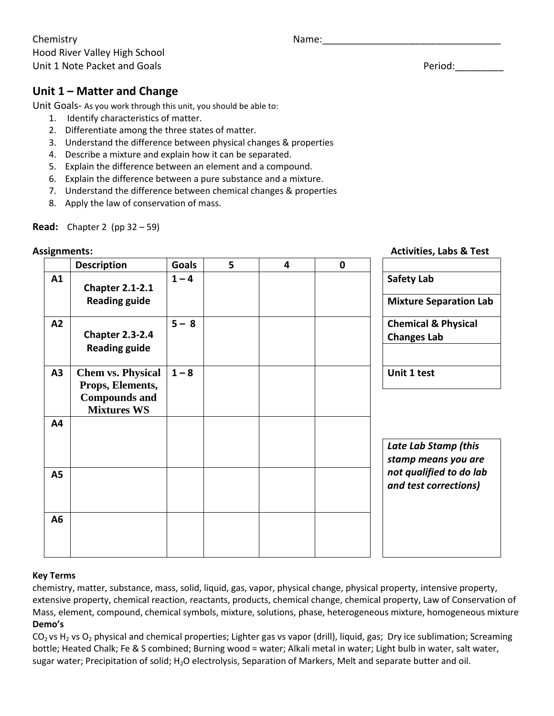Chemistry **Name:** 2008. The Manness Mame: 2008. The Manness Mame: 2008. The Manness Manness Manness Manness Manne Hood River Valley High School Unit 1 Note Packet and Goals **Period:** Period:

# **Unit 1 – Matter and Change**

Unit Goals- As you work through this unit, you should be able to:

- 1. Identify characteristics of matter.
- 2. Differentiate among the three states of matter.
- 3. Understand the difference between physical changes & properties
- 4. Describe a mixture and explain how it can be separated.
- 5. Explain the difference between an element and a compound.
- 6. Explain the difference between a pure substance and a mixture.
- 7. Understand the difference between chemical changes & properties
- 8. Apply the law of conservation of mass.

**Read:** Chapter 2 (pp 32 – 59)

#### **Assignments: Activities, Labs & Test**

|           | <b>Description</b>                                                                         | <b>Goals</b> | 5 | $\overline{\mathbf{4}}$ | $\mathbf 0$ |                                                                                                 |
|-----------|--------------------------------------------------------------------------------------------|--------------|---|-------------------------|-------------|-------------------------------------------------------------------------------------------------|
| A1        | <b>Chapter 2.1-2.1</b><br><b>Reading guide</b>                                             | $1 - 4$      |   |                         |             | <b>Safety Lab</b><br><b>Mixture Separation Lab</b>                                              |
| A2        | <b>Chapter 2.3-2.4</b><br><b>Reading guide</b>                                             | $5 - 8$      |   |                         |             | <b>Chemical &amp; Physical</b><br><b>Changes Lab</b>                                            |
| A3        | <b>Chem vs. Physical</b><br>Props, Elements,<br><b>Compounds and</b><br><b>Mixtures WS</b> | $1 - 8$      |   |                         |             | Unit 1 test                                                                                     |
| A4        |                                                                                            |              |   |                         |             | Late Lab Stamp (this<br>stamp means you are<br>not qualified to do lab<br>and test corrections) |
| <b>A5</b> |                                                                                            |              |   |                         |             |                                                                                                 |
| A6        |                                                                                            |              |   |                         |             |                                                                                                 |

#### **Key Terms**

chemistry, matter, substance, mass, solid, liquid, gas, vapor, physical change, physical property, intensive property, extensive property, chemical reaction, reactants, products, chemical change, chemical property, Law of Conservation of Mass, element, compound, chemical symbols, mixture, solutions, phase, heterogeneous mixture, homogeneous mixture **Demo's**

 $CO<sub>2</sub>$  vs H<sub>2</sub> vs O<sub>2</sub> physical and chemical properties; Lighter gas vs vapor (drill), liquid, gas; Dry ice sublimation; Screaming bottle; Heated Chalk; Fe & S combined; Burning wood = water; Alkali metal in water; Light bulb in water, salt water, sugar water; Precipitation of solid; H<sub>2</sub>O electrolysis, Separation of Markers, Melt and separate butter and oil.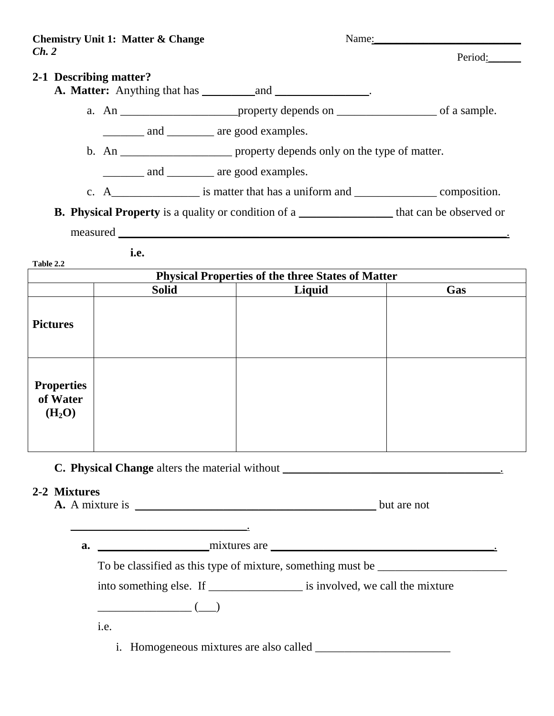Name:\_\_\_\_\_\_\_\_\_\_\_\_\_\_\_\_\_\_\_\_\_\_\_\_\_\_\_ Period: **2-1 Describing matter? A. Matter:** Anything that has *\_\_\_\_\_\_\_\_\_*and *\_\_\_\_\_\_\_\_\_\_\_\_\_\_\_\_*. a. An \_\_\_\_\_\_\_\_\_\_\_\_\_\_\_\_\_\_\_\_property depends on \_\_\_\_\_\_\_\_\_\_\_\_\_\_\_\_\_ of a sample. \_\_\_\_\_\_\_ and \_\_\_\_\_\_\_\_ are good examples. b. An \_\_\_\_\_\_\_\_\_\_\_\_\_\_\_\_\_\_\_\_\_\_\_ property depends only on the type of matter. \_\_\_\_\_\_\_ and \_\_\_\_\_\_\_\_ are good examples. c.  $A_{\text{max}}$  is matter that has a uniform and  $\text{max}$  composition. **B.** Physical Property is a quality or condition of a \_\_\_\_\_\_\_\_\_\_\_\_\_\_\_\_\_\_\_ that can be observed or measured \_\_\_\_\_\_\_\_\_\_\_\_\_\_\_\_\_\_\_\_\_\_\_\_\_\_\_\_\_\_\_\_\_\_\_\_\_\_\_\_\_\_\_\_\_\_\_\_\_\_\_\_\_\_\_\_\_\_\_\_\_\_\_\_\_\_. **i.e. Table 2.2**

| <b>Physical Properties of the three States of Matter</b> |              |        |     |  |  |
|----------------------------------------------------------|--------------|--------|-----|--|--|
|                                                          | <b>Solid</b> | Liquid | Gas |  |  |
| <b>Pictures</b>                                          |              |        |     |  |  |
| <b>Properties</b><br>of Water<br>(H <sub>2</sub> O)      |              |        |     |  |  |

# **C. Physical Change** alters the material without \_\_\_\_\_\_\_\_\_\_\_\_\_\_\_\_\_\_\_\_\_\_\_\_\_\_\_\_\_\_\_\_\_\_\_\_\_.

#### **2-2 Mixtures**

A. A mixture is but are not

\_\_\_\_\_\_\_\_\_\_\_\_\_\_\_\_\_\_\_\_\_\_\_\_\_\_\_\_\_\_.

**a.** \_\_\_\_\_\_\_\_\_\_\_\_\_\_\_\_\_\_\_mixtures are \_\_\_\_\_\_\_\_\_\_\_\_\_\_\_\_\_\_\_\_\_\_\_\_\_\_\_\_\_\_\_\_\_\_\_\_\_\_.

 $\begin{pmatrix} \begin{pmatrix} 1 & 1 \\ 1 & 1 \end{pmatrix} & \begin{pmatrix} 1 & 1 \\ 1 & 1 \end{pmatrix} & \begin{pmatrix} 1 & 1 \\ 1 & 1 \end{pmatrix} & \begin{pmatrix} 1 & 1 \\ 1 & 1 \end{pmatrix} & \begin{pmatrix} 1 & 1 \\ 1 & 1 \end{pmatrix} & \begin{pmatrix} 1 & 1 \\ 1 & 1 \end{pmatrix} & \begin{pmatrix} 1 & 1 \\ 1 & 1 \end{pmatrix} & \begin{pmatrix} 1 & 1 \\ 1 & 1 \end{pmatrix} & \begin{pmatrix} 1 & 1 \\ 1 & 1 \end{pmatrix$ 

To be classified as this type of mixture, something must be \_\_\_\_\_\_\_\_\_\_\_\_\_\_\_\_\_\_\_\_

into something else. If \_\_\_\_\_\_\_\_\_\_\_\_\_\_\_\_\_\_\_\_\_ is involved, we call the mixture

i.e.

i. Homogeneous mixtures are also called \_\_\_\_\_\_\_\_\_\_\_\_\_\_\_\_\_\_\_\_\_\_\_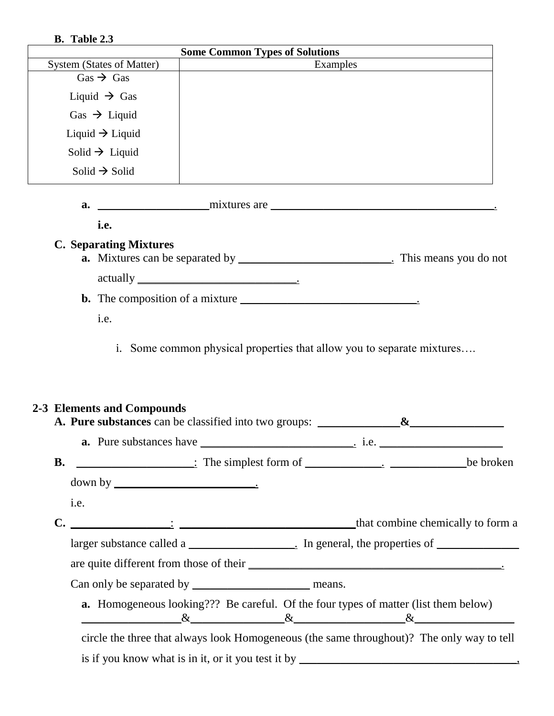### **B. Table 2.3**

|                                                            | <b>Some Common Types of Solutions</b>                                                                        |  |  |  |  |  |
|------------------------------------------------------------|--------------------------------------------------------------------------------------------------------------|--|--|--|--|--|
| <b>System (States of Matter)</b>                           | Examples                                                                                                     |  |  |  |  |  |
| $Gas \rightarrow Gas$                                      |                                                                                                              |  |  |  |  |  |
| Liquid $\rightarrow$ Gas                                   |                                                                                                              |  |  |  |  |  |
| Gas $\rightarrow$ Liquid                                   |                                                                                                              |  |  |  |  |  |
| Liquid $\rightarrow$ Liquid                                |                                                                                                              |  |  |  |  |  |
| Solid $\rightarrow$ Liquid                                 |                                                                                                              |  |  |  |  |  |
| Solid $\rightarrow$ Solid                                  |                                                                                                              |  |  |  |  |  |
| a.                                                         | $matrix are _______$                                                                                         |  |  |  |  |  |
| i.e.                                                       |                                                                                                              |  |  |  |  |  |
| <b>C. Separating Mixtures</b>                              |                                                                                                              |  |  |  |  |  |
|                                                            | <b>a.</b> Mixtures can be separated by _________________________________. This means you do not              |  |  |  |  |  |
|                                                            | $\text{actually } \_\_\_\_\_\_\_\$                                                                           |  |  |  |  |  |
|                                                            |                                                                                                              |  |  |  |  |  |
| i.e.                                                       |                                                                                                              |  |  |  |  |  |
|                                                            |                                                                                                              |  |  |  |  |  |
| 2-3 Elements and Compounds                                 | A. Pure substances can be classified into two groups: ______________&____________                            |  |  |  |  |  |
|                                                            |                                                                                                              |  |  |  |  |  |
| <b>B.</b>                                                  |                                                                                                              |  |  |  |  |  |
| $down by \_\_\_\_\_\_\_\_\_\_\_\_\_\_\_\_\_\_\_\_\_\_\_\_$ |                                                                                                              |  |  |  |  |  |
| i.e.                                                       |                                                                                                              |  |  |  |  |  |
|                                                            |                                                                                                              |  |  |  |  |  |
|                                                            |                                                                                                              |  |  |  |  |  |
|                                                            |                                                                                                              |  |  |  |  |  |
|                                                            |                                                                                                              |  |  |  |  |  |
|                                                            |                                                                                                              |  |  |  |  |  |
|                                                            | <b>a.</b> Homogeneous looking??? Be careful. Of the four types of matter (list them below)<br>$\&$ $\&$ $\&$ |  |  |  |  |  |
|                                                            | circle the three that always look Homogeneous (the same throughout)? The only way to tell                    |  |  |  |  |  |
|                                                            |                                                                                                              |  |  |  |  |  |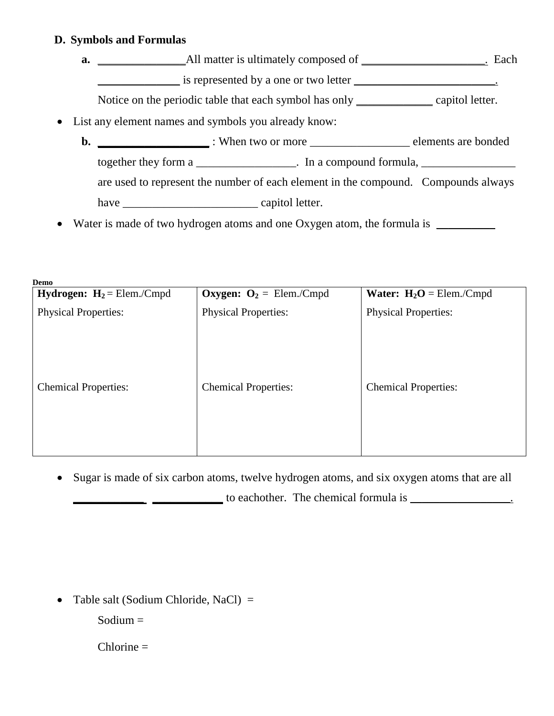## **D. Symbols and Formulas**

- **a.** \_\_\_\_\_\_\_\_\_\_\_\_\_\_\_All matter is ultimately composed of \_\_\_\_\_\_\_\_\_\_\_\_\_\_\_\_\_\_\_\_\_. Each  $\frac{1}{\sqrt{2}}$  is represented by a one or two letter  $\frac{1}{\sqrt{2}}$ Notice on the periodic table that each symbol has only \_\_\_\_\_\_\_\_\_\_\_\_\_\_\_ capitol letter.
- List any element names and symbols you already know:
	- **b. \_\_\_\_\_\_\_\_\_\_\_\_\_\_\_\_\_\_\_** : When two or more \_\_\_\_\_\_\_\_\_\_\_\_\_\_\_\_\_ elements are bonded together they form a \_\_\_\_\_\_\_\_\_\_\_\_\_\_\_\_. In a compound formula, are used to represent the number of each element in the compound. Compounds always have \_\_\_\_\_\_\_\_\_\_\_\_\_\_\_\_\_\_\_\_\_\_\_ capitol letter.
- Water is made of two hydrogen atoms and one Oxygen atom, the formula is  $\Box$

| <b>Hydrogen:</b> $H_2 =$ Elem./Cmpd | <b>Oxygen:</b> $O_2$ = Elem./Cmpd | <b>Water:</b> $H_2O =$ Elem./Cmpd |
|-------------------------------------|-----------------------------------|-----------------------------------|
| <b>Physical Properties:</b>         | <b>Physical Properties:</b>       | <b>Physical Properties:</b>       |
| <b>Chemical Properties:</b>         | <b>Chemical Properties:</b>       | <b>Chemical Properties:</b>       |

• Sugar is made of six carbon atoms, twelve hydrogen atoms, and six oxygen atoms that are all **\_\_\_\_\_\_\_\_\_\_\_** \_\_\_\_\_\_\_\_\_\_\_\_\_\_\_ to eachother. The chemical formula is \_\_\_\_\_\_\_\_\_\_\_\_\_\_\_\_\_\_.

• Table salt (Sodium Chloride, NaCl) =

 $S$ odium  $=$ 

 $Chlorine =$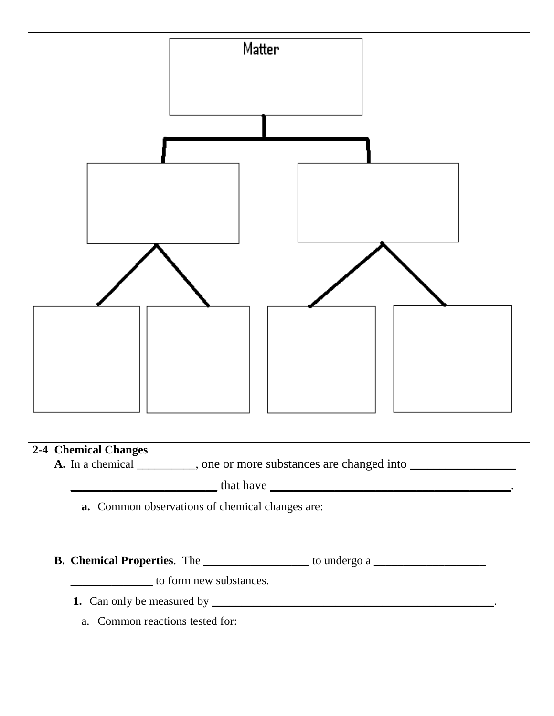